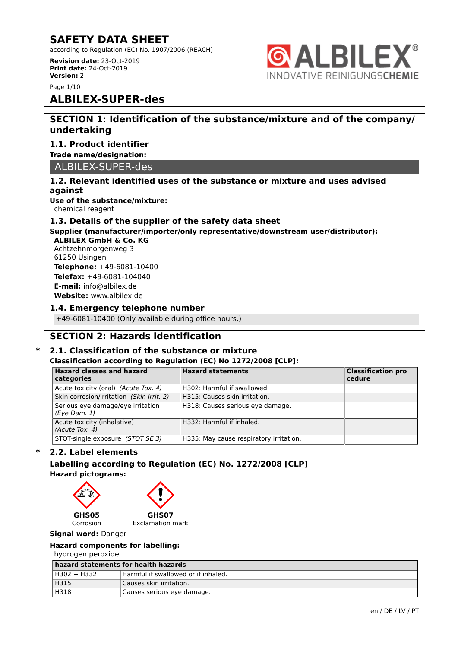according to Regulation (EC) No. 1907/2006 (REACH)

**Revision date:** 23-Oct-2019 **Print date:** 24-Oct-2019 **Version:** 2



Page 1/10

## **ALBILEX-SUPER-des**

## **SECTION 1: Identification of the substance/mixture and of the company/ undertaking**

#### **1.1. Product identifier**

#### **Trade name/designation:**

ALBILEX-SUPER-des

#### **1.2. Relevant identified uses of the substance or mixture and uses advised against**

**Use of the substance/mixture:** chemical reagent

#### **1.3. Details of the supplier of the safety data sheet**

**Supplier (manufacturer/importer/only representative/downstream user/distributor):**

**ALBILEX GmbH & Co. KG** Achtzehnmorgenweg 3 61250 Usingen **Telephone:** +49-6081-10400 **Telefax:** +49-6081-104040 **E-mail:** info@albilex.de **Website:** www.albilex.de

#### **1.4. Emergency telephone number**

+49-6081-10400 (Only available during office hours.)

## **SECTION 2: Hazards identification**

### **\* 2.1. Classification of the substance or mixture**

#### **Classification according to Regulation (EC) No 1272/2008 [CLP]:**

| <b>Hazard classes and hazard</b><br>categories        | <b>Hazard statements</b>                | <b>Classification pro</b><br>cedure |
|-------------------------------------------------------|-----------------------------------------|-------------------------------------|
| Acute toxicity (oral) (Acute Tox. 4)                  | H302: Harmful if swallowed.             |                                     |
| Skin corrosion/irritation (Skin Irrit. 2)             | H315: Causes skin irritation.           |                                     |
| Serious eye damage/eye irritation<br>$(Eye$ Dam. $1)$ | H318: Causes serious eye damage.        |                                     |
| Acute toxicity (inhalative)<br>(Acute Tox. 4)         | H332: Harmful if inhaled.               |                                     |
| STOT-single exposure (STOT SE 3)                      | H335: May cause respiratory irritation. |                                     |

### **\* 2.2. Label elements**

### **Labelling according to Regulation (EC) No. 1272/2008 [CLP] Hazard pictograms:**



#### **Signal word:** Danger

#### **Hazard components for labelling:**

hydrogen peroxide

| hazard statements for health hazards |                                     |  |
|--------------------------------------|-------------------------------------|--|
| H302 + H332                          | Harmful if swallowed or if inhaled. |  |
| H315                                 | Causes skin irritation.             |  |
| H318                                 | Causes serious eye damage.          |  |
|                                      |                                     |  |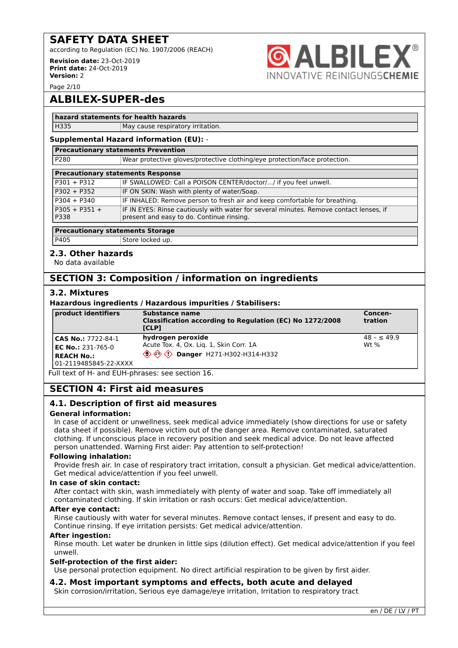according to Regulation (EC) No. 1907/2006 (REACH)

**Revision date:** 23-Oct-2019 **Print date:** 24-Oct-2019 **Version:** 2



Page 2/10

# **ALBILEX-SUPER-des**

#### **hazard statements for health hazards**

H335 May cause respiratory irritation.

#### **Supplemental Hazard information (EU):** - **Precautionary statements Prevention**

| P280                                     | Wear protective gloves/protective clothing/eye protection/face protection.                                                          |  |
|------------------------------------------|-------------------------------------------------------------------------------------------------------------------------------------|--|
|                                          |                                                                                                                                     |  |
|                                          | <b>Precautionary statements Response</b>                                                                                            |  |
| $P301 + P312$                            | IF SWALLOWED: Call a POISON CENTER/doctor// if you feel unwell.                                                                     |  |
| $P302 + P352$                            | IF ON SKIN: Wash with plenty of water/Soap.                                                                                         |  |
| $P304 + P340$                            | IF INHALED: Remove person to fresh air and keep comfortable for breathing.                                                          |  |
| $P305 + P351 +$<br>P338                  | IF IN EYES: Rinse cautiously with water for several minutes. Remove contact lenses, if<br>present and easy to do. Continue rinsing. |  |
| Decembership was abstracted the Chain as |                                                                                                                                     |  |

#### **Precautionary statements Storage**

P405 Store locked up.

#### **2.3. Other hazards**

No data available

## **SECTION 3: Composition / information on ingredients**

#### **3.2. Mixtures**

#### **Hazardous ingredients / Hazardous impurities / Stabilisers:**

| product identifiers                                                                            | Substance name<br>Classification according to Regulation (EC) No 1272/2008<br><b>TCLP1</b>                    | Concen-<br>tration    |
|------------------------------------------------------------------------------------------------|---------------------------------------------------------------------------------------------------------------|-----------------------|
| l CAS No.: 7722-84-1<br><b>EC No.:</b> 231-765-0<br><b>REACH No.:</b><br>01-2119485845-22-XXXX | hydrogen peroxide<br>Acute Tox. 4, Ox. Lig. 1, Skin Corr. 1A<br><b>① ◇ ◇ /&gt; Danger</b> H271-H302-H314-H332 | $48 - 49.9$<br>$Wt$ % |

Full text of H- and EUH-phrases: see section 16.

### **SECTION 4: First aid measures**

#### **4.1. Description of first aid measures**

#### **General information:**

In case of accident or unwellness, seek medical advice immediately (show directions for use or safety data sheet if possible). Remove victim out of the danger area. Remove contaminated, saturated clothing. If unconscious place in recovery position and seek medical advice. Do not leave affected person unattended. Warning First aider: Pay attention to self-protection!

#### **Following inhalation:**

Provide fresh air. In case of respiratory tract irritation, consult a physician. Get medical advice/attention. Get medical advice/attention if you feel unwell.

#### **In case of skin contact:**

After contact with skin, wash immediately with plenty of water and soap. Take off immediately all contaminated clothing. If skin irritation or rash occurs: Get medical advice/attention.

#### **After eye contact:**

Rinse cautiously with water for several minutes. Remove contact lenses, if present and easy to do. Continue rinsing. If eye irritation persists: Get medical advice/attention.

#### **After ingestion:**

Rinse mouth. Let water be drunken in little sips (dilution effect). Get medical advice/attention if you feel unwell.

#### **Self-protection of the first aider:**

Use personal protection equipment. No direct artificial respiration to be given by first aider.

## **4.2. Most important symptoms and effects, both acute and delayed**

Skin corrosion/irritation, Serious eye damage/eye irritation, Irritation to respiratory tract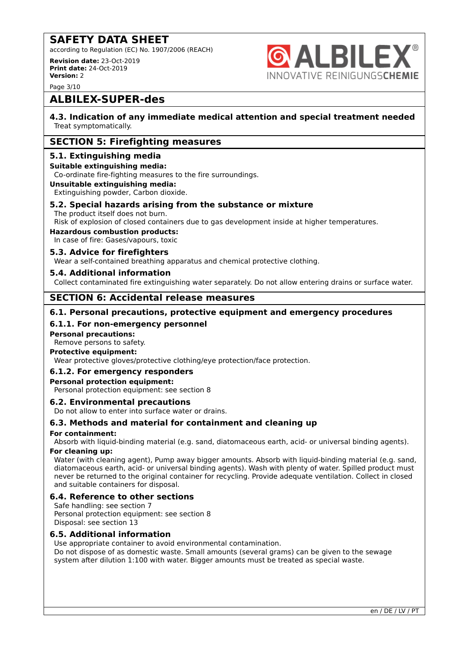according to Regulation (EC) No. 1907/2006 (REACH)

**Revision date:** 23-Oct-2019 **Print date:** 24-Oct-2019 **Version:** 2



Page 3/10

# **ALBILEX-SUPER-des**

#### **4.3. Indication of any immediate medical attention and special treatment needed** Treat symptomatically.

## **SECTION 5: Firefighting measures**

#### **5.1. Extinguishing media**

#### **Suitable extinguishing media:**

Co-ordinate fire-fighting measures to the fire surroundings.

#### **Unsuitable extinguishing media:**

Extinguishing powder, Carbon dioxide.

#### **5.2. Special hazards arising from the substance or mixture**

The product itself does not burn.

#### Risk of explosion of closed containers due to gas development inside at higher temperatures.

#### **Hazardous combustion products:**

In case of fire: Gases/vapours, toxic

#### **5.3. Advice for firefighters**

Wear a self-contained breathing apparatus and chemical protective clothing.

#### **5.4. Additional information**

Collect contaminated fire extinguishing water separately. Do not allow entering drains or surface water.

### **SECTION 6: Accidental release measures**

#### **6.1. Personal precautions, protective equipment and emergency procedures**

#### **6.1.1. For non-emergency personnel**

#### **Personal precautions:**

Remove persons to safety.

#### **Protective equipment:**

Wear protective gloves/protective clothing/eye protection/face protection.

#### **6.1.2. For emergency responders**

#### **Personal protection equipment:**

Personal protection equipment: see section 8

#### **6.2. Environmental precautions**

Do not allow to enter into surface water or drains.

#### **6.3. Methods and material for containment and cleaning up**

#### **For containment:**

Absorb with liquid-binding material (e.g. sand, diatomaceous earth, acid- or universal binding agents).

#### **For cleaning up:**

Water (with cleaning agent), Pump away bigger amounts. Absorb with liquid-binding material (e.g. sand, diatomaceous earth, acid- or universal binding agents). Wash with plenty of water. Spilled product must never be returned to the original container for recycling. Provide adequate ventilation. Collect in closed and suitable containers for disposal.

#### **6.4. Reference to other sections**

Safe handling: see section 7 Personal protection equipment: see section 8 Disposal: see section 13

### **6.5. Additional information**

Use appropriate container to avoid environmental contamination. Do not dispose of as domestic waste. Small amounts (several grams) can be given to the sewage system after dilution 1:100 with water. Bigger amounts must be treated as special waste.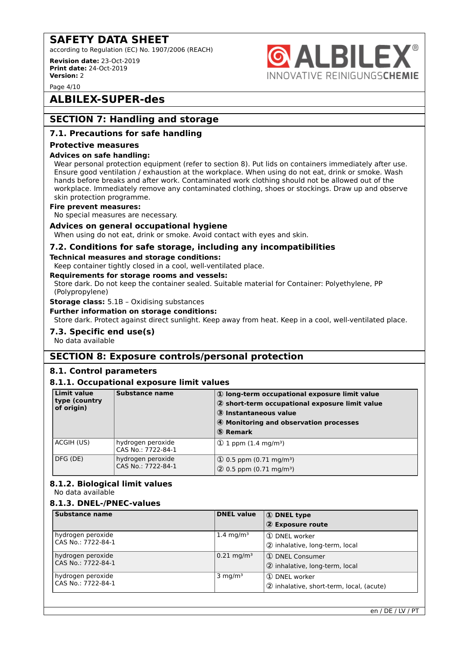according to Regulation (EC) No. 1907/2006 (REACH)

**Revision date:** 23-Oct-2019 **Print date:** 24-Oct-2019 **Version:** 2

Page 4/10

# **ALBILEX-SUPER-des**

# **SECTION 7: Handling and storage**

#### **7.1. Precautions for safe handling**

#### **Protective measures**

#### **Advices on safe handling:**

Wear personal protection equipment (refer to section 8). Put lids on containers immediately after use. Ensure good ventilation / exhaustion at the workplace. When using do not eat, drink or smoke. Wash hands before breaks and after work. Contaminated work clothing should not be allowed out of the workplace. Immediately remove any contaminated clothing, shoes or stockings. Draw up and observe skin protection programme.

**6 ALBILEX** 

INNOVATIVE REINIGUNGSCHEMIE

#### **Fire prevent measures:**

No special measures are necessary.

#### **Advices on general occupational hygiene**

When using do not eat, drink or smoke. Avoid contact with eyes and skin.

#### **7.2. Conditions for safe storage, including any incompatibilities**

#### **Technical measures and storage conditions:**

Keep container tightly closed in a cool, well-ventilated place.

#### **Requirements for storage rooms and vessels:**

Store dark. Do not keep the container sealed. Suitable material for Container: Polyethylene, PP (Polypropylene)

**Storage class:** 5.1B – Oxidising substances

**Further information on storage conditions:**

Store dark. Protect against direct sunlight. Keep away from heat. Keep in a cool, well-ventilated place.

#### **7.3. Specific end use(s)**

No data available

### **SECTION 8: Exposure controls/personal protection**

#### **8.1. Control parameters**

#### **8.1.1. Occupational exposure limit values**

| <b>Limit value</b><br>type (country<br>of origin) | Substance name                          | 1) long-term occupational exposure limit value<br>2 short-term occupational exposure limit value<br>3 Instantaneous value<br>4 Monitoring and observation processes<br>5 Remark |
|---------------------------------------------------|-----------------------------------------|---------------------------------------------------------------------------------------------------------------------------------------------------------------------------------|
| ACGIH (US)                                        | hydrogen peroxide<br>CAS No.: 7722-84-1 | $(1)$ 1 ppm $(1.4 \text{ mg/m}^3)$                                                                                                                                              |
| DFG (DE)                                          | hydrogen peroxide<br>CAS No.: 7722-84-1 | $\Omega$ 0.5 ppm (0.71 mg/m <sup>3</sup> )<br>$(2)$ 0.5 ppm $(0.71 \text{ mg/m}^3)$                                                                                             |

## **8.1.2. Biological limit values**

No data available

#### **8.1.3. DNEL-/PNEC-values**

| <b>Substance name</b>                   | <b>DNEL value</b>     | 1 DNEL type<br>2 Exposure route                           |
|-----------------------------------------|-----------------------|-----------------------------------------------------------|
| hydrogen peroxide<br>CAS No.: 7722-84-1 | 1.4 mg/m <sup>3</sup> | 1 DNEL worker<br>2 inhalative, long-term, local           |
| hydrogen peroxide<br>CAS No.: 7722-84-1 | $0.21 \text{ mg/m}^3$ | 1 DNEL Consumer<br>2 inhalative, long-term, local         |
| hydrogen peroxide<br>CAS No.: 7722-84-1 | $3 \text{ mg/m}^3$    | 1 DNEL worker<br>2 inhalative, short-term, local, (acute) |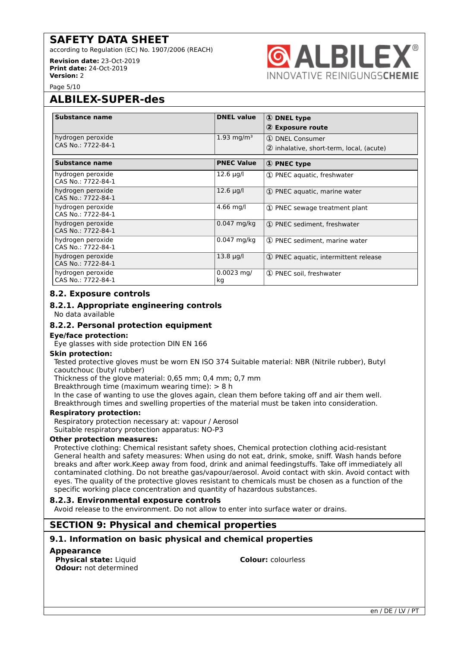according to Regulation (EC) No. 1907/2006 (REACH)

**Revision date:** 23-Oct-2019 **Print date:** 24-Oct-2019 **Version:** 2



Page 5/10

# **ALBILEX-SUPER-des**

| Substance name                          | <b>DNEL value</b>        | <b>1</b> DNEL type<br>2 Exposure route                      |
|-----------------------------------------|--------------------------|-------------------------------------------------------------|
| hydrogen peroxide<br>CAS No.: 7722-84-1 | $1.93 \,\mathrm{mg/m^3}$ | 1 DNEL Consumer<br>2 inhalative, short-term, local, (acute) |
| Substance name                          | <b>PNEC Value</b>        | <b>1</b> PNEC type                                          |
| hydrogen peroxide<br>CAS No.: 7722-84-1 | $12.6 \mu g/l$           | 1) PNEC aquatic, freshwater                                 |
| hydrogen peroxide<br>CAS No.: 7722-84-1 | 12.6 µg/l                | 1) PNEC aquatic, marine water                               |
| hydrogen peroxide<br>CAS No.: 7722-84-1 | $4.66$ mg/l              | 1) PNEC sewage treatment plant                              |
| hydrogen peroxide<br>CAS No.: 7722-84-1 | 0.047 mg/kg              | 1) PNEC sediment, freshwater                                |
| hydrogen peroxide<br>CAS No.: 7722-84-1 | 0.047 mg/kg              | 1) PNEC sediment, marine water                              |
| hydrogen peroxide<br>CAS No.: 7722-84-1 | $13.8 \mu q/l$           | 1) PNEC aquatic, intermittent release                       |
| hydrogen peroxide<br>CAS No.: 7722-84-1 | $0.0023$ mg/<br>kg       | 1) PNEC soil, freshwater                                    |

#### **8.2. Exposure controls**

#### **8.2.1. Appropriate engineering controls**

No data available

#### **8.2.2. Personal protection equipment**

#### **Eye/face protection:**

Eye glasses with side protection DIN EN 166

#### **Skin protection:**

Tested protective gloves must be worn EN ISO 374 Suitable material: NBR (Nitrile rubber), Butyl caoutchouc (butyl rubber)

Thickness of the glove material: 0,65 mm; 0,4 mm; 0,7 mm

Breakthrough time (maximum wearing time): > 8 h

In the case of wanting to use the gloves again, clean them before taking off and air them well. Breakthrough times and swelling properties of the material must be taken into consideration.

#### **Respiratory protection:**

Respiratory protection necessary at: vapour / Aerosol Suitable respiratory protection apparatus: NO-P3

#### **Other protection measures:**

Protective clothing: Chemical resistant safety shoes, Chemical protection clothing acid-resistant General health and safety measures: When using do not eat, drink, smoke, sniff. Wash hands before breaks and after work.Keep away from food, drink and animal feedingstuffs. Take off immediately all contaminated clothing. Do not breathe gas/vapour/aerosol. Avoid contact with skin. Avoid contact with eyes. The quality of the protective gloves resistant to chemicals must be chosen as a function of the specific working place concentration and quantity of hazardous substances.

#### **8.2.3. Environmental exposure controls**

Avoid release to the environment. Do not allow to enter into surface water or drains.

## **SECTION 9: Physical and chemical properties**

### **9.1. Information on basic physical and chemical properties**

#### **Appearance**

**Physical state:** Liquid **Colour:** colourless **Odour:** not determined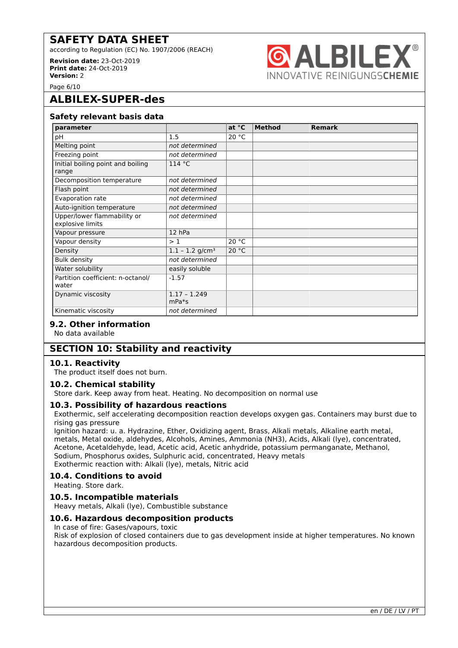according to Regulation (EC) No. 1907/2006 (REACH)

**Revision date:** 23-Oct-2019 **Print date:** 24-Oct-2019 **Version:** 2



Page 6/10

# **ALBILEX-SUPER-des**

#### **Safety relevant basis data**

| parameter                                       |                               | at $^{\circ}$ C | <b>Method</b> | <b>Remark</b> |
|-------------------------------------------------|-------------------------------|-----------------|---------------|---------------|
| рH                                              | 1.5                           | 20 °C           |               |               |
| Melting point                                   | not determined                |                 |               |               |
| Freezing point                                  | not determined                |                 |               |               |
| Initial boiling point and boiling<br>range      | 114 °C                        |                 |               |               |
| Decomposition temperature                       | not determined                |                 |               |               |
| Flash point                                     | not determined                |                 |               |               |
| Evaporation rate                                | not determined                |                 |               |               |
| Auto-ignition temperature                       | not determined                |                 |               |               |
| Upper/lower flammability or<br>explosive limits | not determined                |                 |               |               |
| Vapour pressure                                 | 12 hPa                        |                 |               |               |
| Vapour density                                  | >1                            | 20 °C           |               |               |
| Density                                         | $1.1 - 1.2$ g/cm <sup>3</sup> | 20 °C           |               |               |
| <b>Bulk density</b>                             | not determined                |                 |               |               |
| Water solubility                                | easily soluble                |                 |               |               |
| Partition coefficient: n-octanol/<br>water      | $-1.57$                       |                 |               |               |
| Dynamic viscosity                               | $1.17 - 1.249$<br>$mPa*s$     |                 |               |               |
| Kinematic viscosity                             | not determined                |                 |               |               |

# No data available

## **SECTION 10: Stability and reactivity**

#### **10.1. Reactivity**

The product itself does not burn.

#### **10.2. Chemical stability**

**9.2. Other information**

Store dark. Keep away from heat. Heating. No decomposition on normal use

#### **10.3. Possibility of hazardous reactions**

Exothermic, self accelerating decomposition reaction develops oxygen gas. Containers may burst due to rising gas pressure

Ignition hazard: u. a. Hydrazine, Ether, Oxidizing agent, Brass, Alkali metals, Alkaline earth metal, metals, Metal oxide, aldehydes, Alcohols, Amines, Ammonia (NH3), Acids, Alkali (lye), concentrated, Acetone, Acetaldehyde, lead, Acetic acid, Acetic anhydride, potassium permanganate, Methanol, Sodium, Phosphorus oxides, Sulphuric acid, concentrated, Heavy metals Exothermic reaction with: Alkali (lye), metals, Nitric acid

#### **10.4. Conditions to avoid**

Heating. Store dark.

#### **10.5. Incompatible materials**

Heavy metals, Alkali (lye), Combustible substance

#### **10.6. Hazardous decomposition products**

In case of fire: Gases/vapours, toxic

Risk of explosion of closed containers due to gas development inside at higher temperatures. No known hazardous decomposition products.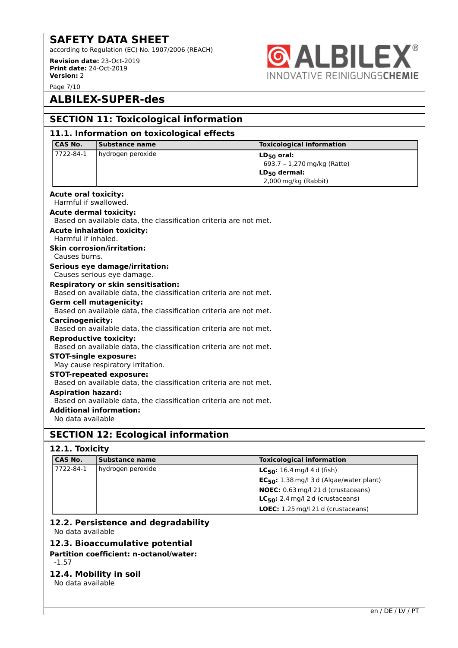according to Regulation (EC) No. 1907/2006 (REACH)

**Revision date:** 23-Oct-2019 **Print date:** 24-Oct-2019 **Version:** 2



Page 7/10

# **ALBILEX-SUPER-des**

| <b>SECTION 11: Toxicological information</b>                                                        |                                                                   |                                  |  |  |
|-----------------------------------------------------------------------------------------------------|-------------------------------------------------------------------|----------------------------------|--|--|
| 11.1. Information on toxicological effects                                                          |                                                                   |                                  |  |  |
| <b>CAS No.</b>                                                                                      | Substance name                                                    | <b>Toxicological information</b> |  |  |
| 7722-84-1                                                                                           | hydrogen peroxide                                                 | $LD_{50}$ oral:                  |  |  |
|                                                                                                     |                                                                   | 693.7 - 1,270 mg/kg (Ratte)      |  |  |
|                                                                                                     |                                                                   | $LD_{50}$ dermal:                |  |  |
|                                                                                                     |                                                                   | 2,000 mg/kg (Rabbit)             |  |  |
| <b>Acute oral toxicity:</b>                                                                         |                                                                   |                                  |  |  |
| Harmful if swallowed.                                                                               |                                                                   |                                  |  |  |
| <b>Acute dermal toxicity:</b>                                                                       |                                                                   |                                  |  |  |
|                                                                                                     | Based on available data, the classification criteria are not met. |                                  |  |  |
|                                                                                                     | <b>Acute inhalation toxicity:</b>                                 |                                  |  |  |
| Harmful if inhaled.                                                                                 |                                                                   |                                  |  |  |
|                                                                                                     | <b>Skin corrosion/irritation:</b>                                 |                                  |  |  |
| Causes burns.                                                                                       |                                                                   |                                  |  |  |
|                                                                                                     | Serious eye damage/irritation:                                    |                                  |  |  |
|                                                                                                     | Causes serious eye damage.                                        |                                  |  |  |
| <b>Respiratory or skin sensitisation:</b>                                                           |                                                                   |                                  |  |  |
|                                                                                                     | Based on available data, the classification criteria are not met. |                                  |  |  |
|                                                                                                     | <b>Germ cell mutagenicity:</b>                                    |                                  |  |  |
|                                                                                                     | Based on available data, the classification criteria are not met. |                                  |  |  |
| <b>Carcinogenicity:</b>                                                                             |                                                                   |                                  |  |  |
| Based on available data, the classification criteria are not met.                                   |                                                                   |                                  |  |  |
| <b>Reproductive toxicity:</b>                                                                       |                                                                   |                                  |  |  |
|                                                                                                     | Based on available data, the classification criteria are not met. |                                  |  |  |
| <b>STOT-single exposure:</b>                                                                        |                                                                   |                                  |  |  |
| May cause respiratory irritation.                                                                   |                                                                   |                                  |  |  |
| <b>STOT-repeated exposure:</b><br>Based on available data, the classification criteria are not met. |                                                                   |                                  |  |  |
| <b>Aspiration hazard:</b>                                                                           |                                                                   |                                  |  |  |
|                                                                                                     | Based on available data, the classification criteria are not met. |                                  |  |  |
| <b>Additional information:</b>                                                                      |                                                                   |                                  |  |  |
| No data available                                                                                   |                                                                   |                                  |  |  |
|                                                                                                     |                                                                   |                                  |  |  |
|                                                                                                     | <b>SECTION 12: Ecological information</b>                         |                                  |  |  |

#### **12.1. Toxicity**

| <b>CAS No.</b> | Substance name    | <b>Toxicological information</b>              |
|----------------|-------------------|-----------------------------------------------|
| 7722-84-1      | hydrogen peroxide | <b>LC<sub>50</sub>:</b> 16.4 mg/l 4 d (fish)  |
|                |                   | $EC_{50}$ : 1.38 mg/l 3 d (Algae/water plant) |
|                |                   | <b>NOEC:</b> 0.63 mg/l 21 d (crustaceans)     |
|                |                   | $LC_{50}$ : 2.4 mg/l 2 d (crustaceans)        |
|                |                   | <b>LOEC:</b> 1.25 mg/l 21 d (crustaceans)     |

#### **12.2. Persistence and degradability** No data available

### **12.3. Bioaccumulative potential**

**Partition coefficient: n-octanol/water:**

### -1.57

#### **12.4. Mobility in soil**

No data available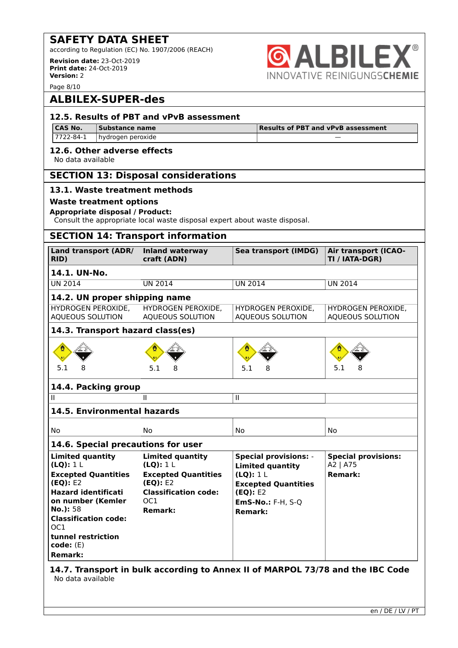according to Regulation (EC) No. 1907/2006 (REACH)

**Revision date:** 23-Oct-2019 **Print date:** 24-Oct-2019 **Version:** 2



Page 8/10

# **ALBILEX-SUPER-des**

#### **12.5. Results of PBT and vPvB assessment CAS No. Substance name Results of PBT and vPvB assessment**  $7722 - 84 - 1$  hydrogen peroxide **12.6. Other adverse effects** No data available **SECTION 13: Disposal considerations 13.1. Waste treatment methods Waste treatment options Appropriate disposal / Product:** Consult the appropriate local waste disposal expert about waste disposal. **SECTION 14: Transport information Land transport (ADR/ Inland waterway Sea transport (IMDG) Air transport (ICAOcraft (ADN) TI / IATA-DGR) RID) 14.1. UN-No.** UN 2014 UN 2014 UN 2014 UN 2014 **14.2. UN proper shipping name** HYDROGEN PEROXIDE, HYDROGEN PEROXIDE, HYDROGEN PEROXIDE, HYDROGEN PEROXIDE, AQUEOUS SOLUTION AQUEOUS SOLUTION AQUEOUS SOLUTION AQUEOUS SOLUTION **14.3. Transport hazard class(es)** L. 5.1 8 5.1 8 5.1 8 5.1 8 **14.4. Packing group** II II II **14.5. Environmental hazards** No No No No **14.6. Special precautions for user Limited quantity Limited quantity Special provisions:** - **Special provisions: (LQ):** 1 L **(LQ):** 1 L A2 | A75 **Limited quantity Excepted Quantities Excepted Quantities (LQ):** 1 L **Remark: (EQ):** E2 **(EQ):** E2 **Excepted Quantities Hazard identificati Classification code: (EQ):** E2 **on number (Kemler** OC1 **EmS-No.:** F-H, S-Q **No.):** 58 **Remark: Remark: Classification code:** OC1 **tunnel restriction code:** (E) **Remark: 14.7. Transport in bulk according to Annex II of MARPOL 73/78 and the IBC Code**

No data available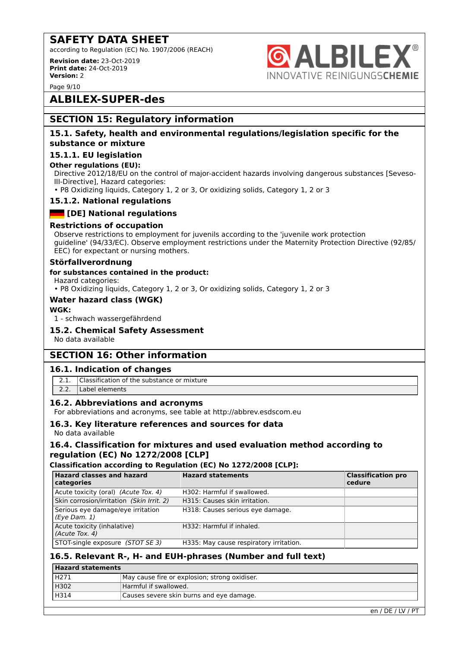according to Regulation (EC) No. 1907/2006 (REACH)

**Revision date:** 23-Oct-2019 **Print date:** 24-Oct-2019 **Version:** 2

**ALBILE NNOVATIVE REINIGUNGSCHEMIE** 

Page 9/10

# **ALBILEX-SUPER-des**

## **SECTION 15: Regulatory information**

#### **15.1. Safety, health and environmental regulations/legislation specific for the substance or mixture**

#### **15.1.1. EU legislation**

#### **Other regulations (EU):**

Directive 2012/18/EU on the control of major-accident hazards involving dangerous substances [Seveso-III-Directive], Hazard categories:

• P8 Oxidizing liquids, Category 1, 2 or 3, Or oxidizing solids, Category 1, 2 or 3

#### **15.1.2. National regulations**

### **Example 1** [DE] National regulations

#### **Restrictions of occupation**

Observe restrictions to employment for juvenils according to the 'juvenile work protection guideline' (94/33/EC). Observe employment restrictions under the Maternity Protection Directive (92/85/ EEC) for expectant or nursing mothers.

#### **Störfallverordnung**

#### **for substances contained in the product:**

Hazard categories:

• P8 Oxidizing liquids, Category 1, 2 or 3, Or oxidizing solids, Category 1, 2 or 3

#### **Water hazard class (WGK)**

#### **WGK:**

1 - schwach wassergefährdend

#### **15.2. Chemical Safety Assessment**

No data available

### **SECTION 16: Other information**

#### **16.1. Indication of changes**

- 2.1. Classification of the substance or mixture
- 2.2. Label elements

#### **16.2. Abbreviations and acronyms**

For abbreviations and acronyms, see table at http://abbrev.esdscom.eu

#### **16.3. Key literature references and sources for data**

No data available

#### **16.4. Classification for mixtures and used evaluation method according to regulation (EC) No 1272/2008 [CLP]**

#### **Classification according to Regulation (EC) No 1272/2008 [CLP]:**

| <b>Hazard classes and hazard</b><br>categories    | <b>Hazard statements</b>                | <b>Classification pro</b><br>cedure |
|---------------------------------------------------|-----------------------------------------|-------------------------------------|
| Acute toxicity (oral) (Acute Tox. 4)              | H302: Harmful if swallowed.             |                                     |
| Skin corrosion/irritation (Skin Irrit. 2)         | H315: Causes skin irritation.           |                                     |
| Serious eye damage/eye irritation<br>(Eye Dam. 1) | H318: Causes serious eye damage.        |                                     |
| Acute toxicity (inhalative)<br>(Acute Tox. 4)     | H332: Harmful if inhaled.               |                                     |
| STOT-single exposure (STOT SE 3)                  | H335: May cause respiratory irritation. |                                     |

### **16.5. Relevant R-, H- and EUH-phrases (Number and full text)**

| Hazard statements |                                               |  |
|-------------------|-----------------------------------------------|--|
| H271              | May cause fire or explosion; strong oxidiser. |  |
| H302              | Harmful if swallowed.                         |  |
| H314              | Causes severe skin burns and eye damage.      |  |